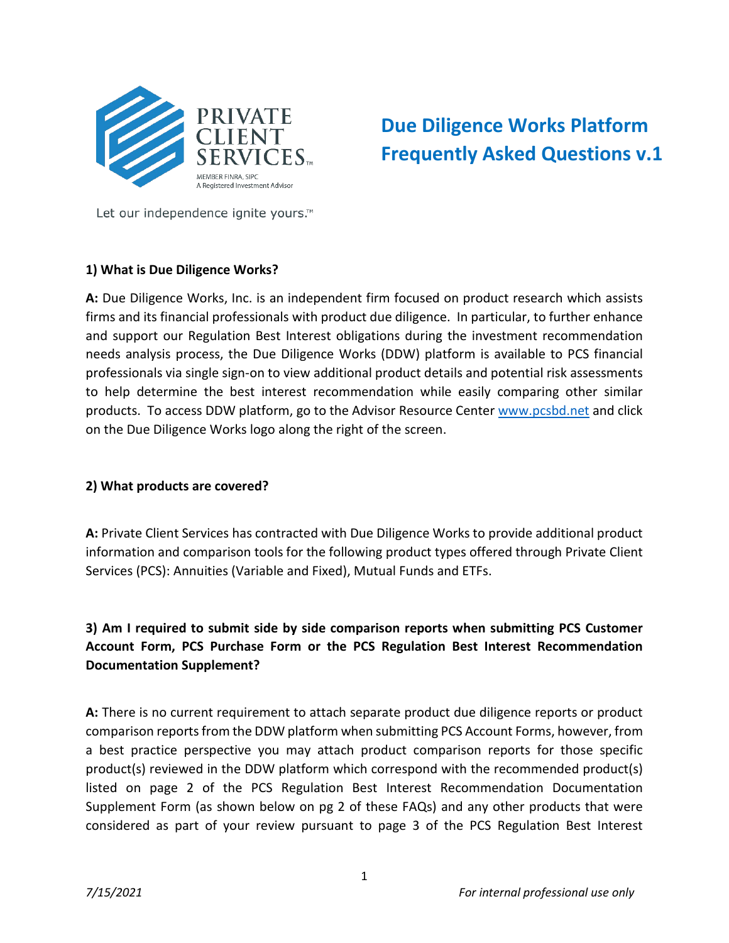

# **Due Diligence Works Platform Frequently Asked Questions v.1**

Let our independence ignite yours.<sup>™</sup>

### **1) What is Due Diligence Works?**

**A:** Due Diligence Works, Inc. is an independent firm focused on product research which assists firms and its financial professionals with product due diligence. In particular, to further enhance and support our Regulation Best Interest obligations during the investment recommendation needs analysis process, the Due Diligence Works (DDW) platform is available to PCS financial professionals via single sign-on to view additional product details and potential risk assessments to help determine the best interest recommendation while easily comparing other similar products. To access DDW platform, go to the Advisor Resource Center [www.pcsbd.net](http://www.pcsbd.net/) and click on the Due Diligence Works logo along the right of the screen.

#### **2) What products are covered?**

**A:** Private Client Services has contracted with Due Diligence Works to provide additional product information and comparison tools for the following product types offered through Private Client Services (PCS): Annuities (Variable and Fixed), Mutual Funds and ETFs.

**3) Am I required to submit side by side comparison reports when submitting PCS Customer Account Form, PCS Purchase Form or the PCS Regulation Best Interest Recommendation Documentation Supplement?**

**A:** There is no current requirement to attach separate product due diligence reports or product comparison reports from the DDW platform when submitting PCS Account Forms, however, from a best practice perspective you may attach product comparison reports for those specific product(s) reviewed in the DDW platform which correspond with the recommended product(s) listed on page 2 of the PCS Regulation Best Interest Recommendation Documentation Supplement Form (as shown below on pg 2 of these FAQs) and any other products that were considered as part of your review pursuant to page 3 of the PCS Regulation Best Interest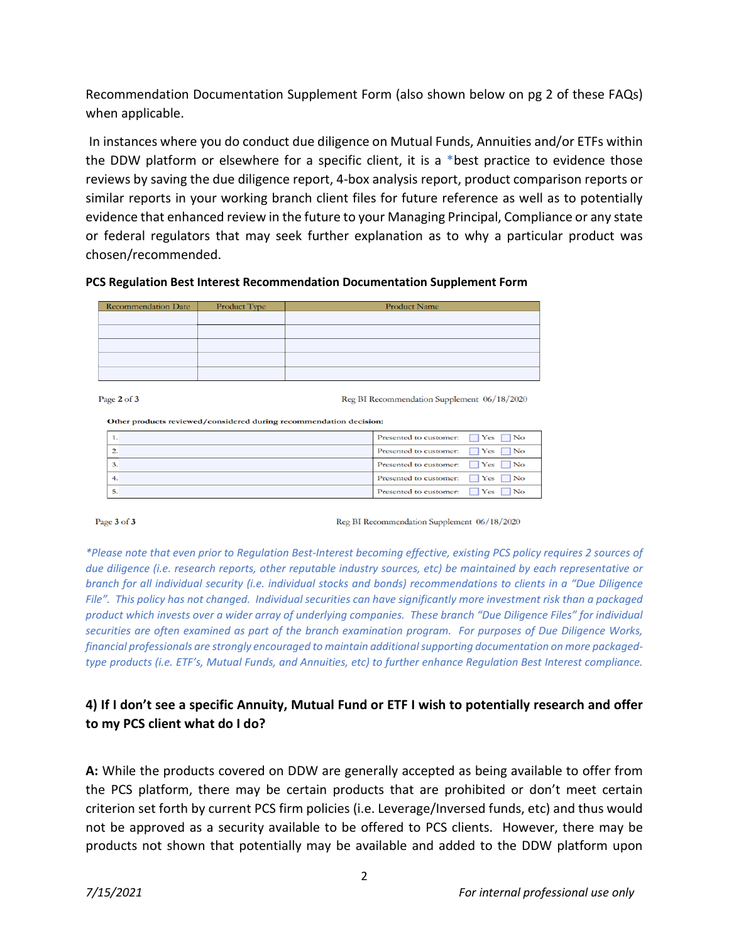Recommendation Documentation Supplement Form (also shown below on pg 2 of these FAQs) when applicable.

In instances where you do conduct due diligence on Mutual Funds, Annuities and/or ETFs within the DDW platform or elsewhere for a specific client, it is a \*best practice to evidence those reviews by saving the due diligence report, 4-box analysis report, product comparison reports or similar reports in your working branch client files for future reference as well as to potentially evidence that enhanced review in the future to your Managing Principal, Compliance or any state or federal regulators that may seek further explanation as to why a particular product was chosen/recommended.

**PCS Regulation Best Interest Recommendation Documentation Supplement Form**

| <b>Recommendation Date</b> | Product Type | <b>Product Name</b> |
|----------------------------|--------------|---------------------|
|                            |              |                     |
|                            |              |                     |
|                            |              |                     |
|                            |              |                     |
|                            |              |                     |
|                            |              |                     |

Page 2 of 3

Reg BI Recommendation Supplement 06/18/2020

#### Other products reviewed/considered during recommendation decision:

| Presented to customer: $\Box$ Yes $\Box$ No |
|---------------------------------------------|
| Presented to customer: $\Box$ Yes $\Box$ No |
| Presented to customer: $\Box$ Yes $\Box$ No |
| Presented to customer: $\Box$ Yes $\Box$ No |
| Presented to customer: T Yes No             |

Page 3 of 3

Reg BI Recommendation Supplement 06/18/2020

*\*Please note that even prior to Regulation Best-Interest becoming effective, existing PCS policy requires 2 sources of due diligence (i.e. research reports, other reputable industry sources, etc) be maintained by each representative or branch for all individual security (i.e. individual stocks and bonds) recommendations to clients in a "Due Diligence File". This policy has not changed. Individual securities can have significantly more investment risk than a packaged product which invests over a wider array of underlying companies. These branch "Due Diligence Files" for individual securities are often examined as part of the branch examination program. For purposes of Due Diligence Works, financial professionals are strongly encouraged to maintain additional supporting documentation on more packagedtype products (i.e. ETF's, Mutual Funds, and Annuities, etc) to further enhance Regulation Best Interest compliance.*

## **4) If I don't see a specific Annuity, Mutual Fund or ETF I wish to potentially research and offer to my PCS client what do I do?**

**A:** While the products covered on DDW are generally accepted as being available to offer from the PCS platform, there may be certain products that are prohibited or don't meet certain criterion set forth by current PCS firm policies (i.e. Leverage/Inversed funds, etc) and thus would not be approved as a security available to be offered to PCS clients. However, there may be products not shown that potentially may be available and added to the DDW platform upon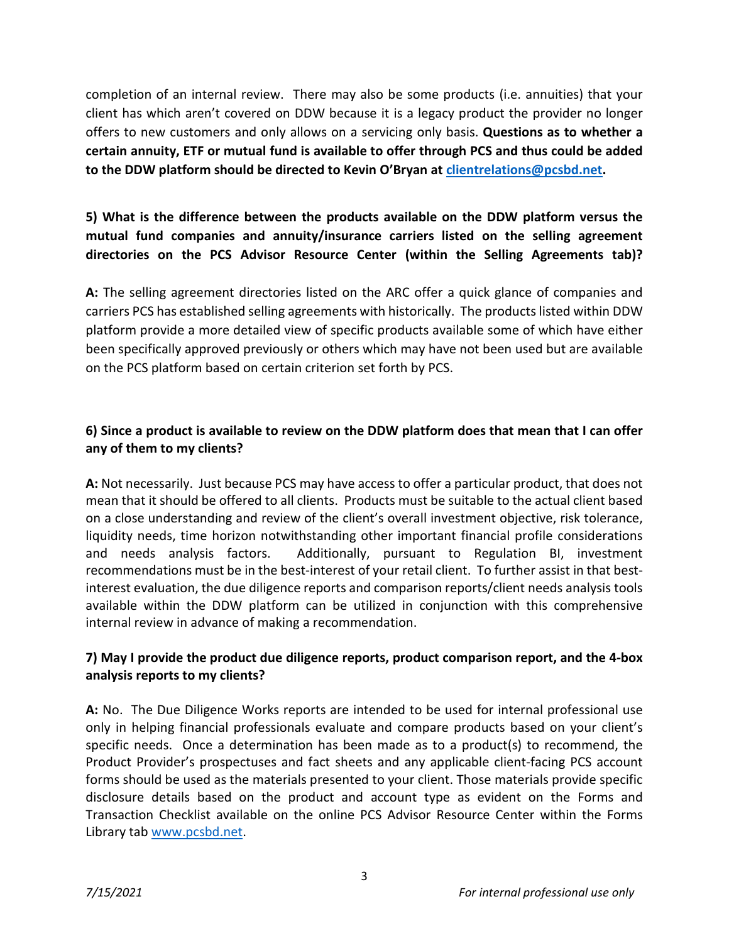completion of an internal review. There may also be some products (i.e. annuities) that your client has which aren't covered on DDW because it is a legacy product the provider no longer offers to new customers and only allows on a servicing only basis. **Questions as to whether a certain annuity, ETF or mutual fund is available to offer through PCS and thus could be added to the DDW platform should be directed to Kevin O'Bryan at [clientrelations@pcsbd.net.](mailto:clientrelations@pcsbd.net)**

## **5) What is the difference between the products available on the DDW platform versus the mutual fund companies and annuity/insurance carriers listed on the selling agreement directories on the PCS Advisor Resource Center (within the Selling Agreements tab)?**

**A:** The selling agreement directories listed on the ARC offer a quick glance of companies and carriers PCS has established selling agreements with historically. The products listed within DDW platform provide a more detailed view of specific products available some of which have either been specifically approved previously or others which may have not been used but are available on the PCS platform based on certain criterion set forth by PCS.

## **6) Since a product is available to review on the DDW platform does that mean that I can offer any of them to my clients?**

**A:** Not necessarily. Just because PCS may have access to offer a particular product, that does not mean that it should be offered to all clients. Products must be suitable to the actual client based on a close understanding and review of the client's overall investment objective, risk tolerance, liquidity needs, time horizon notwithstanding other important financial profile considerations and needs analysis factors. Additionally, pursuant to Regulation BI, investment recommendations must be in the best-interest of your retail client. To further assist in that bestinterest evaluation, the due diligence reports and comparison reports/client needs analysis tools available within the DDW platform can be utilized in conjunction with this comprehensive internal review in advance of making a recommendation.

## **7) May I provide the product due diligence reports, product comparison report, and the 4-box analysis reports to my clients?**

**A:** No. The Due Diligence Works reports are intended to be used for internal professional use only in helping financial professionals evaluate and compare products based on your client's specific needs. Once a determination has been made as to a product(s) to recommend, the Product Provider's prospectuses and fact sheets and any applicable client-facing PCS account forms should be used as the materials presented to your client. Those materials provide specific disclosure details based on the product and account type as evident on the Forms and Transaction Checklist available on the online PCS Advisor Resource Center within the Forms Library tab [www.pcsbd.net.](http://www.pcsbd.net/)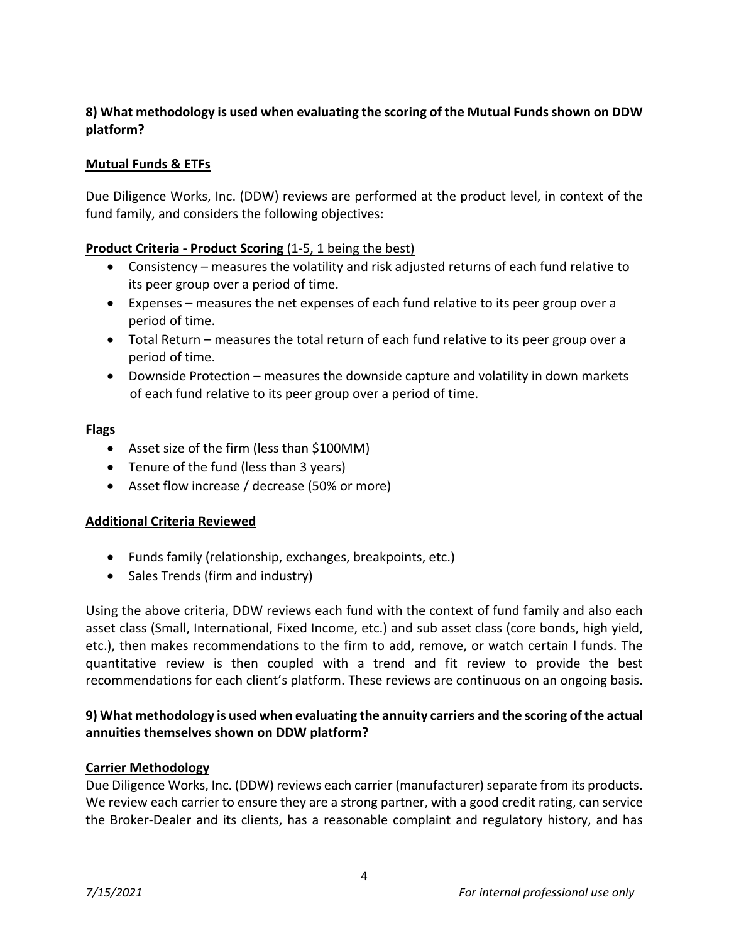## **8) What methodology is used when evaluating the scoring of the Mutual Funds shown on DDW platform?**

## **Mutual Funds & ETFs**

Due Diligence Works, Inc. (DDW) reviews are performed at the product level, in context of the fund family, and considers the following objectives:

### **Product Criteria - Product Scoring** (1-5, 1 being the best)

- Consistency measures the volatility and risk adjusted returns of each fund relative to its peer group over a period of time.
- Expenses measures the net expenses of each fund relative to its peer group over a period of time.
- Total Return measures the total return of each fund relative to its peer group over a period of time.
- Downside Protection measures the downside capture and volatility in down markets of each fund relative to its peer group over a period of time.

#### **Flags**

- Asset size of the firm (less than \$100MM)
- Tenure of the fund (less than 3 years)
- Asset flow increase / decrease (50% or more)

#### **Additional Criteria Reviewed**

- Funds family (relationship, exchanges, breakpoints, etc.)
- Sales Trends (firm and industry)

Using the above criteria, DDW reviews each fund with the context of fund family and also each asset class (Small, International, Fixed Income, etc.) and sub asset class (core bonds, high yield, etc.), then makes recommendations to the firm to add, remove, or watch certain l funds. The quantitative review is then coupled with a trend and fit review to provide the best recommendations for each client's platform. These reviews are continuous on an ongoing basis.

## **9) What methodology is used when evaluating the annuity carriers and the scoring of the actual annuities themselves shown on DDW platform?**

#### **Carrier Methodology**

Due Diligence Works, Inc. (DDW) reviews each carrier (manufacturer) separate from its products. We review each carrier to ensure they are a strong partner, with a good credit rating, can service the Broker-Dealer and its clients, has a reasonable complaint and regulatory history, and has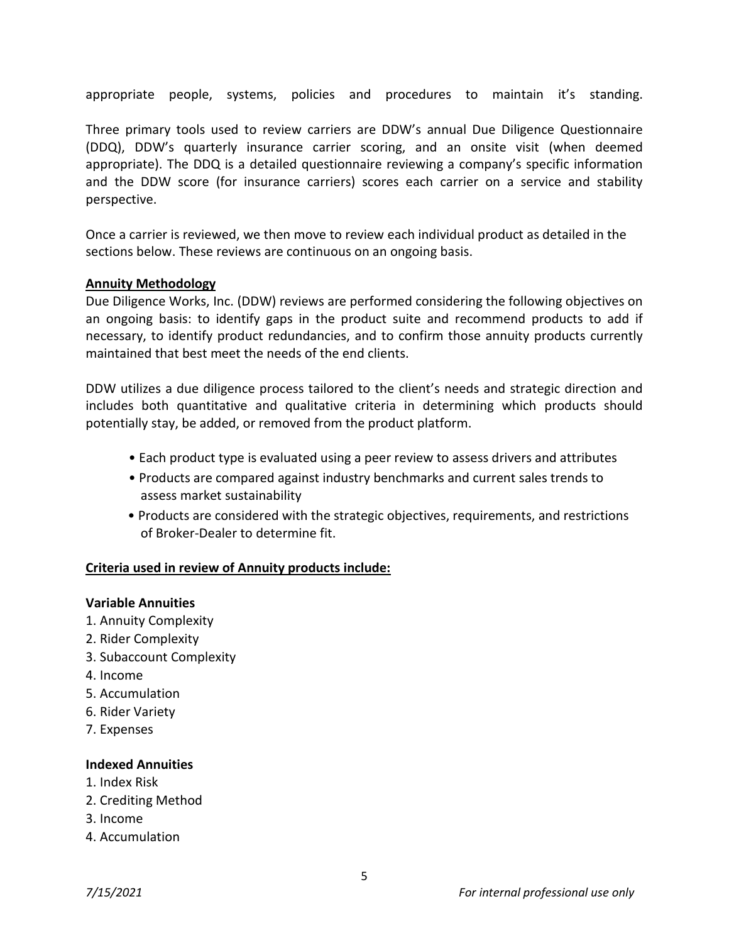appropriate people, systems, policies and procedures to maintain it's standing.

Three primary tools used to review carriers are DDW's annual Due Diligence Questionnaire (DDQ), DDW's quarterly insurance carrier scoring, and an onsite visit (when deemed appropriate). The DDQ is a detailed questionnaire reviewing a company's specific information and the DDW score (for insurance carriers) scores each carrier on a service and stability perspective.

Once a carrier is reviewed, we then move to review each individual product as detailed in the sections below. These reviews are continuous on an ongoing basis.

#### **Annuity Methodology**

Due Diligence Works, Inc. (DDW) reviews are performed considering the following objectives on an ongoing basis: to identify gaps in the product suite and recommend products to add if necessary, to identify product redundancies, and to confirm those annuity products currently maintained that best meet the needs of the end clients.

DDW utilizes a due diligence process tailored to the client's needs and strategic direction and includes both quantitative and qualitative criteria in determining which products should potentially stay, be added, or removed from the product platform.

- Each product type is evaluated using a peer review to assess drivers and attributes
- Products are compared against industry benchmarks and current sales trends to assess market sustainability
- Products are considered with the strategic objectives, requirements, and restrictions of Broker-Dealer to determine fit.

#### **Criteria used in review of Annuity products include:**

#### **Variable Annuities**

- 1. Annuity Complexity
- 2. Rider Complexity
- 3. Subaccount Complexity
- 4. Income
- 5. Accumulation
- 6. Rider Variety
- 7. Expenses

#### **Indexed Annuities**

- 1. Index Risk
- 2. Crediting Method
- 3. Income
- 4. Accumulation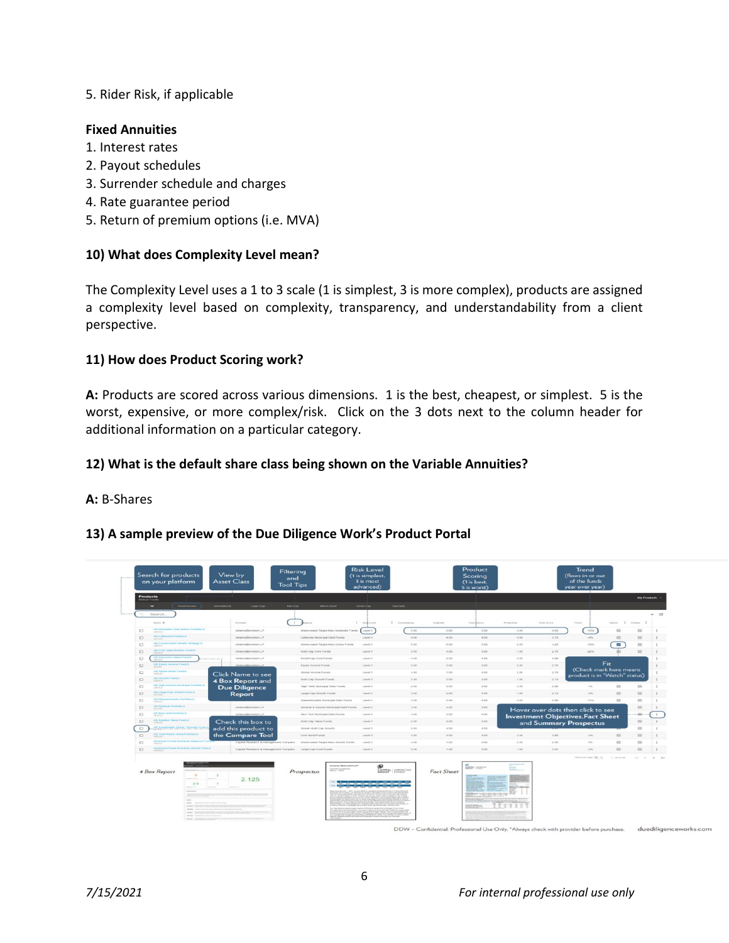#### 5. Rider Risk, if applicable

#### **Fixed Annuities**

- 1. Interest rates
- 2. Payout schedules
- 3. Surrender schedule and charges
- 4. Rate guarantee period
- 5. Return of premium options (i.e. MVA)

### **10) What does Complexity Level mean?**

The Complexity Level uses a 1 to 3 scale (1 is simplest, 3 is more complex), products are assigned a complexity level based on complexity, transparency, and understandability from a client perspective.

#### **11) How does Product Scoring work?**

**A:** Products are scored across various dimensions. 1 is the best, cheapest, or simplest. 5 is the worst, expensive, or more complex/risk. Click on the 3 dots next to the column header for additional information on a particular category.

#### **12) What is the default share class being shown on the Variable Annuities?**

#### **A:** B-Shares

#### **13) A sample preview of the Due Diligence Work's Product Portal**

|                    | Search for products<br>on your platform                                                                                                                                                                   | View by<br>and<br><b>Asset Class</b><br><b>Tool Tips</b>   |                                                                        | (1 is simplest,<br>3 is most<br>advanced) |                  |                   | Scoring<br>(1 is best,<br>5 is worst) |                    |             | (flows in or out<br>of the funds<br>year over year)     |                               |                                                                     |              |
|--------------------|-----------------------------------------------------------------------------------------------------------------------------------------------------------------------------------------------------------|------------------------------------------------------------|------------------------------------------------------------------------|-------------------------------------------|------------------|-------------------|---------------------------------------|--------------------|-------------|---------------------------------------------------------|-------------------------------|---------------------------------------------------------------------|--------------|
| <b>Autuot Fund</b> | <b>Products</b>                                                                                                                                                                                           |                                                            |                                                                        |                                           |                  |                   |                                       |                    |             |                                                         |                               | My Products                                                         |              |
| $\alpha$           | Fixed Income<br>$\mathbf{A}$<br>Search.                                                                                                                                                                   | Mid Cap<br><b>Large Cap</b>                                | <b>March Accura</b>                                                    | <b>Small</b> Cap                          | <b>Generally</b> |                   |                                       |                    |             |                                                         |                               |                                                                     | $+$ $\circ$  |
|                    | Name of                                                                                                                                                                                                   | $\mathbb{R}$<br>Provider                                   |                                                                        | I makanes                                 | I consistents    | <b>NADWORK</b>    | Total Restars                         | <b>Weinbertham</b> | Total Score | Toyota,                                                 | Warren.                       | $\frac{1}{2}$ cause $\frac{1}{2}$                                   |              |
| $\Box$             | AB All Market Total Return Portfolio A.                                                                                                                                                                   | AllanceBernstein LP                                        | Mixed-Asset Target Alloc Moderate Funds                                | Level 1                                   | 5.00             | 3.00              | 5.00                                  | 3.00               | 4.00        | $-1076$                                                 | $\overline{\phantom{m}}$      | $\equiv$                                                            |              |
| $\Box$             | AB California Portfolio.A.                                                                                                                                                                                | AllianceBernstein LP                                       | California Municipal Debt Funds                                        | Level 1                                   | 4.00             | 4.00              | $+00$                                 | 0.00               | 0.76        | $-476$                                                  | $\equiv$                      | $\equiv$                                                            | $\pm$        |
| $\Box$             | tive Wealth Strategy A<br>All-Contat                                                                                                                                                                      | AllianceBernstein LP                                       | Mixed-Asset Target Alloc Consy Funds                                   | Canadi 1                                  | 5.00             | 5.00              | 5.00                                  | 2.00               | 4.26        | $-105%$                                                 | N                             | $\equiv$                                                            | $\mathbb{R}$ |
| $\Box$             | AB Core Opportunities Fund A                                                                                                                                                                              | AltanceBernstein LP                                        | Multi-Cap Core Funds                                                   | Level 1                                   | 3.00             | 4.00              | 3.00                                  | 1.00               | 2.75        | $-2276$                                                 |                               | $\equiv$                                                            |              |
| $\Box$             | AB Discovery Value Fund,A<br>.                                                                                                                                                                            | AllanceBernstein LP                                        | <b>Bmail-Cap Core Funds</b>                                            | Level 1                                   | 4.00             | 2.00              | 4.50                                  | $-0.00$            | 0.00        |                                                         |                               |                                                                     |              |
| $\Box$             | All Equity Income Fund A                                                                                                                                                                                  | <b>Bancelhernstein LP</b>                                  | Equity income Funds                                                    | Level 1                                   | 3.00             | $-3.00$           | 3.00                                  | 200                | 2.76        |                                                         | Fit                           |                                                                     |              |
| $\Box$             | AB Crobal Bond Frank A                                                                                                                                                                                    | Click Name to see                                          | Global Income Funds                                                    | Level 1                                   | 4.00             | 1.00              | 4.00                                  | 2.00               | 2.76        | (Check mark here means<br>product is in "Watch" status) |                               |                                                                     |              |
| $\Box$             | All Growth Fund A                                                                                                                                                                                         | 4 Box Report and                                           | Multi-Cap Growth Funds                                                 | <b>Linyed 1</b>                           | 2.60             | $-3.00$           | 2.00                                  | 1.00               | 2.13        |                                                         |                               |                                                                     |              |
| $\Box$             | Als High Income Musicipal Portfolio A                                                                                                                                                                     | <b>Due Diligence</b>                                       | High Yield Municipal Debt Funds                                        | Carpel 1                                  | 2.00             | 3.00              | 2.00                                  | 4.50               | 2.88        | 116                                                     | $\qquad \qquad \qquad \qquad$ | $\equiv$                                                            | $\pm$        |
| $\Box$             | AB Large Cap Growth Fundi A                                                                                                                                                                               | <b>Report</b>                                              | Large-Cap Growth Funds                                                 | Level 1                                   | 3.00             | 200               | 2.50                                  | 1.00               | 2.13        | $-256$                                                  | $\overline{12}$               | $\equiv$                                                            | $\ddot{z}$   |
| $\Box$             | AB Massachusetts Portfolio.A                                                                                                                                                                              |                                                            | Massachusetts Municipal Detit Funds                                    | Level 1                                   | 3.00             | 3.00              | 2.60                                  | 3.00               | 2.86        | $-115%$                                                 | $\equiv$                      | $\frac{1}{2}$                                                       |              |
| $\Box$             | All National Portfolio A                                                                                                                                                                                  | Attancellermatein LP                                       | General & Insured Municipal Detit/Funds                                | <b>Service 11</b>                         | 8.00             | $-0.00$           | 3.60.                                 |                    |             | Hover over dots then click to see                       |                               | $\equiv$                                                            | $\ddot{z}$   |
| $\Box$             | AB New York Portfolio.A.                                                                                                                                                                                  | AllianceBernstein LP                                       | New York Municipal Debt Funds                                          | Level 1                                   | 4.00.            | 3.00              | $-4.00$                               |                    |             | <b>Investment Objectives, Fact Sheet</b>                |                               | 48.                                                                 | $\ddot{z}$   |
| $\Box$             | AB Reserve Make Pund,A                                                                                                                                                                                    | Check this box to                                          | Multi-Cap Value Funds                                                  | Level 1                                   | 2.00             | 2.00              | 2.00                                  |                    |             | and Summary Prospectus                                  |                               | $\frac{1}{2} \left( \frac{1}{2} \right) \left( \frac{1}{2} \right)$ | $\mathbb{R}$ |
| $\Box$             | AB Restarratio Grobal Trematic Fund                                                                                                                                                                       | add this product to                                        | Global Multi-Cap Growth                                                | Linest 1                                  | 2.00             | $-4.00.$          | 2.00                                  |                    |             |                                                         |                               | $\mathbb{R}^n$                                                      |              |
| $\Box$             | AB Total Return Bond Portfolio;A                                                                                                                                                                          | the Compare Tool                                           | Core Bond Funds                                                        | Level 1                                   | 4.60             | 4.00              | 4.00                                  | 3.00               | 3.88        | Lights.                                                 | $\equiv$                      | <b>ISS</b>                                                          |              |
| $\Box$             | America                                                                                                                                                                                                   | Capital Research & Management Company                      | Mixed-Asset Target Alto: Growth Funds                                  | Level 1                                   | 4.00             | 7.00              | 3.00                                  | 2.00               | 2.50        | 276                                                     | $\equiv$                      | $\equiv$                                                            |              |
| $\Box$             | American Punda American Muluid Fund A                                                                                                                                                                     | Capital Research & Management Company Large-Cap Core Funds |                                                                        | Level 1                                   | 5.00             | $+.00$            | 5.00                                  | 1.00               | 3.00.       | -2%                                                     | $\equiv$                      | $\equiv$                                                            |              |
|                    |                                                                                                                                                                                                           |                                                            |                                                                        |                                           |                  |                   |                                       |                    |             | Harts per page: \$6 w.                                  | $1 - 50$ of 54                | $1 < 2$ $> 21$                                                      |              |
|                    | 4 Box Report<br>$\mathbf{a}$<br>2.5<br>- 4<br>The American                                                                                                                                                | $\rightarrow$<br>2.125                                     | <b>American Belancad Puncti</b><br>Surrowany prospection<br>Prospectus | 中                                         | CAPITAL AMERICAN | <b>Fact Sheet</b> | Camara content<br>Compensation        | $\frac{1}{2}$      |             |                                                         |                               |                                                                     |              |
|                    | <b>SERVICE</b><br><b>BOILEY</b><br>$-$<br>www.communication.com/and/and/and/<br>www. Detroite consideration companies have and<br><b>MERCH CONTRACT</b><br>manager  Therefore and a strength property and |                                                            |                                                                        |                                           |                  |                   | <b>Heritorgia</b>                     |                    |             |                                                         |                               |                                                                     |              |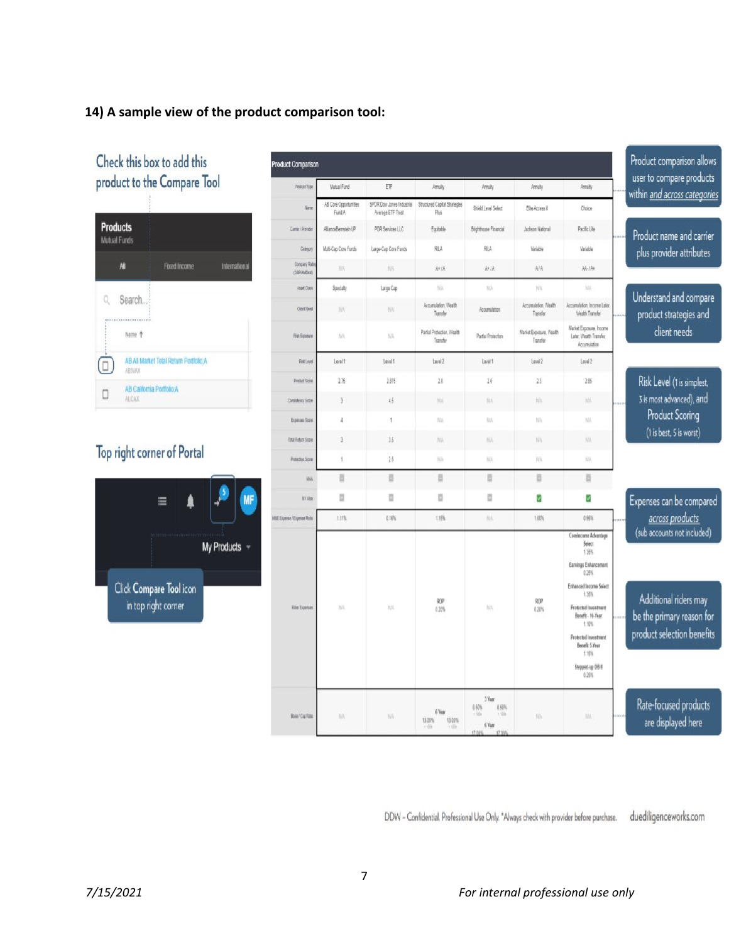## **14) A sample view of the product comparison tool:**

| Check this box to add this                                           | <b>Product Comparison</b>     |                                 |                                                |                                        |                                                                      |                                     |                                                                                                                                                                                                                             | Product comparison allows<br>user to compare products                                                           |
|----------------------------------------------------------------------|-------------------------------|---------------------------------|------------------------------------------------|----------------------------------------|----------------------------------------------------------------------|-------------------------------------|-----------------------------------------------------------------------------------------------------------------------------------------------------------------------------------------------------------------------------|-----------------------------------------------------------------------------------------------------------------|
| product to the Compare Tool                                          | Product Type                  | Mutual Fund                     | ETF                                            | Annuity                                | Annulty                                                              | Annuity                             | Anuly                                                                                                                                                                                                                       | within and across categories                                                                                    |
|                                                                      | Marre                         | AB Core Opportunities<br>Fund A | SPDR Dow Jones Industrial<br>Average ETF Trust | Structured Capital Strategies<br>Plus  | Shield Level Select                                                  | Elle Access II                      | Chrice                                                                                                                                                                                                                      |                                                                                                                 |
| <b>Products</b><br><b>Mutual Funds</b>                               | Carrier / Provider            | AllanceBernstein LP             | PDR Services LLC                               | Equitable                              | Brighthouse Financial                                                | Jackson National                    | Pacific Life                                                                                                                                                                                                                | Product name and carrier                                                                                        |
|                                                                      | Category                      | Multi-Cap Core Funds            | Large-Cap Core Funds                           | RILA                                   | RILA                                                                 | Variable                            | Variable                                                                                                                                                                                                                    | plus provider attributes                                                                                        |
| All<br>Fixed Income<br>International                                 | Company Ratin<br>(S&P/AMBest) | NA                              | NA.                                            | A+/A                                   | A+/A                                                                 | A/A                                 | AA-1A+                                                                                                                                                                                                                      |                                                                                                                 |
|                                                                      | Asset Class                   | Specialty                       | Large Cap                                      | NA                                     | NA.                                                                  | NA.                                 | NA                                                                                                                                                                                                                          | Understand and compare                                                                                          |
| Search.<br>Q                                                         | <b>Client Need</b>            | <b>NA</b>                       | N/A                                            | Accumulation, Wealth<br>Transfer       | Accumulation                                                         | Accumulation, Wealth<br>Transfer    | Accumulation, Income Later<br>Wealth Transfer                                                                                                                                                                               | product strategies and                                                                                          |
| Name +                                                               | <b>Risk Exposure</b>          | NA                              | <b>NA</b>                                      | Partial Protection, Wealth<br>Transfer | Partial Protection                                                   | Market Exposure, Wealth<br>Transfer | Market Exposure, Income<br>Later, Wealth Transfer,<br>Accumulation                                                                                                                                                          | client needs                                                                                                    |
| AB All Market Total Return Portfolio:A<br>$\Box$<br>ABWAX            | Risk Level                    | Level 1                         | Level 1                                        | Level 2                                | Level 1                                                              | Level 2                             | Laval 2                                                                                                                                                                                                                     |                                                                                                                 |
| AB California Portfolio:A                                            | Product Score                 | 276                             | 2.875                                          | 28                                     | 26                                                                   | 23                                  | 2.85                                                                                                                                                                                                                        | Risk Level (1 is simplest,                                                                                      |
| 0<br><b>ALCAX</b>                                                    | Consistency Score             | 3                               | 45                                             | NW                                     | NA.                                                                  | NA.                                 | NK.                                                                                                                                                                                                                         | 3 is most advanced), and                                                                                        |
|                                                                      | Expenses Score                | ı                               | $\mathbf{L}$                                   | NW                                     | N/A                                                                  | NA                                  | NA.                                                                                                                                                                                                                         | <b>Product Scoring</b>                                                                                          |
|                                                                      | Total Return Score            | 3                               | 15                                             | NA                                     | NA <sup></sup>                                                       | NA                                  | NA.                                                                                                                                                                                                                         | (1 is best, 5 is worst)                                                                                         |
| Top right corner of Portal                                           | Protection Score              | 1                               | 25                                             | NA                                     | 枞                                                                    | NA                                  | WA                                                                                                                                                                                                                          |                                                                                                                 |
|                                                                      | <b>MA</b>                     | E                               | 目                                              | $\Box$                                 | B                                                                    | 目                                   | B                                                                                                                                                                                                                           |                                                                                                                 |
| <b>MF</b><br>Δ<br>$\equiv$                                           | <b>NY Also</b>                | D.                              | ü                                              | n                                      | o                                                                    | Ÿ                                   | Ÿ                                                                                                                                                                                                                           | Expenses can be compared                                                                                        |
|                                                                      | M&E Expense / Expense Ratio   | 1.11%                           | 0.16%                                          | 1.15%                                  | NA:                                                                  | 1.00%                               | 0.95%                                                                                                                                                                                                                       | across products                                                                                                 |
| <b>My Products</b><br>Click Compare Tool icon<br>in top right corner | <b>Rider Expenses</b>         | NA.                             | <b>NA</b>                                      | ROP<br>0.20%                           | NA'                                                                  | ROP<br>0.20%                        | Corelncome Advantage<br>Select<br>1.35%<br>Earnings Enhancement<br>0.25%<br><b>Enhanced Income Select</b><br>1.35%<br>Protected Investment<br>Benefit - 10-Year<br>1.10%<br>Protected Investment<br>Benefit 5-Year<br>1.15% | (sub accounts not included)<br>Additional riders may<br>be the primary reason for<br>product selection benefits |
|                                                                      | Base / Cap Rate               | NA                              | NA                                             | 6 Year<br>13.00%<br>13.00%<br>i tili   | 3 Year<br><b>8.50%</b><br>8.50%<br>$+105$<br>9.300s<br>6 Year<br>498 | NA                                  | Stepped-up DB II<br>0.25%<br>NA.                                                                                                                                                                                            | Rate-focused products<br>are displayed here                                                                     |

DDW - Confidential. Professional Use Only. \*Always check with provider before purchase. duediligenceworks.com